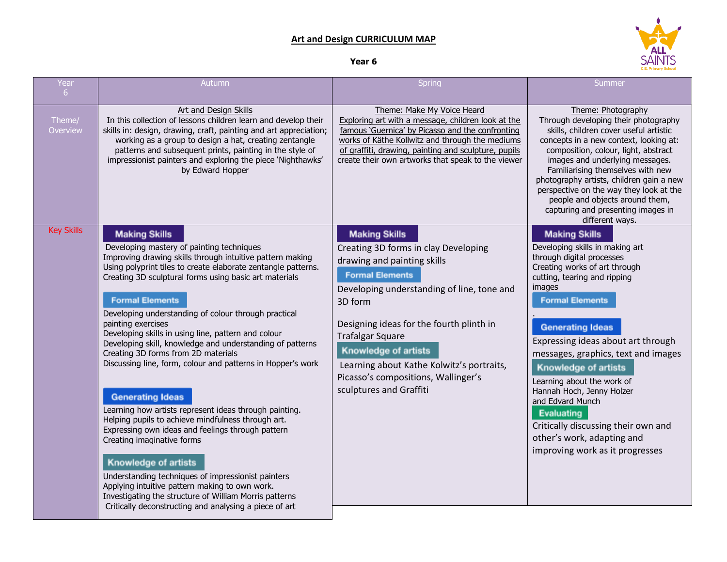## **Art and Design CURRICULUM MAP**



## **Year 6**

| Year               | Autumn                                                                                                                                                                                                                                                                                                                                                                                                                                                                                                                                                                                                                                                                                                                                                                                                                                                                                                                                                                                                                                                                               | Spring                                                                                                                                                                                                                                                                                                                                                                                              | Summer                                                                                                                                                                                                                                                                                                                                                                                                                                                                                                                                       |
|--------------------|--------------------------------------------------------------------------------------------------------------------------------------------------------------------------------------------------------------------------------------------------------------------------------------------------------------------------------------------------------------------------------------------------------------------------------------------------------------------------------------------------------------------------------------------------------------------------------------------------------------------------------------------------------------------------------------------------------------------------------------------------------------------------------------------------------------------------------------------------------------------------------------------------------------------------------------------------------------------------------------------------------------------------------------------------------------------------------------|-----------------------------------------------------------------------------------------------------------------------------------------------------------------------------------------------------------------------------------------------------------------------------------------------------------------------------------------------------------------------------------------------------|----------------------------------------------------------------------------------------------------------------------------------------------------------------------------------------------------------------------------------------------------------------------------------------------------------------------------------------------------------------------------------------------------------------------------------------------------------------------------------------------------------------------------------------------|
| 6 <sup>1</sup>     |                                                                                                                                                                                                                                                                                                                                                                                                                                                                                                                                                                                                                                                                                                                                                                                                                                                                                                                                                                                                                                                                                      |                                                                                                                                                                                                                                                                                                                                                                                                     |                                                                                                                                                                                                                                                                                                                                                                                                                                                                                                                                              |
| Theme/<br>Overview | Art and Design Skills<br>In this collection of lessons children learn and develop their<br>skills in: design, drawing, craft, painting and art appreciation;<br>working as a group to design a hat, creating zentangle<br>patterns and subsequent prints, painting in the style of<br>impressionist painters and exploring the piece 'Nighthawks'<br>by Edward Hopper                                                                                                                                                                                                                                                                                                                                                                                                                                                                                                                                                                                                                                                                                                                | Theme: Make My Voice Heard<br>Exploring art with a message, children look at the<br>famous 'Guernica' by Picasso and the confronting<br>works of Käthe Kollwitz and through the mediums<br>of graffiti, drawing, painting and sculpture, pupils<br>create their own artworks that speak to the viewer                                                                                               | Theme: Photography<br>Through developing their photography<br>skills, children cover useful artistic<br>concepts in a new context, looking at:<br>composition, colour, light, abstract<br>images and underlying messages.<br>Familiarising themselves with new<br>photography artists, children gain a new<br>perspective on the way they look at the<br>people and objects around them,<br>capturing and presenting images in<br>different ways.                                                                                            |
| <b>Key Skills</b>  | <b>Making Skills</b><br>Developing mastery of painting techniques<br>Improving drawing skills through intuitive pattern making<br>Using polyprint tiles to create elaborate zentangle patterns.<br>Creating 3D sculptural forms using basic art materials<br><b>Formal Elements</b><br>Developing understanding of colour through practical<br>painting exercises<br>Developing skills in using line, pattern and colour<br>Developing skill, knowledge and understanding of patterns<br>Creating 3D forms from 2D materials<br>Discussing line, form, colour and patterns in Hopper's work<br><b>Generating Ideas</b><br>Learning how artists represent ideas through painting.<br>Helping pupils to achieve mindfulness through art.<br>Expressing own ideas and feelings through pattern<br>Creating imaginative forms<br><b>Knowledge of artists</b><br>Understanding techniques of impressionist painters<br>Applying intuitive pattern making to own work.<br>Investigating the structure of William Morris patterns<br>Critically deconstructing and analysing a piece of art | <b>Making Skills</b><br>Creating 3D forms in clay Developing<br>drawing and painting skills<br><b>Formal Elements</b><br>Developing understanding of line, tone and<br>3D form<br>Designing ideas for the fourth plinth in<br><b>Trafalgar Square</b><br><b>Knowledge of artists</b><br>Learning about Kathe Kolwitz's portraits,<br>Picasso's compositions, Wallinger's<br>sculptures and Graffiti | <b>Making Skills</b><br>Developing skills in making art<br>through digital processes<br>Creating works of art through<br>cutting, tearing and ripping<br>images<br><b>Formal Elements</b><br><b>Generating Ideas</b><br>Expressing ideas about art through<br>messages, graphics, text and images<br><b>Knowledge of artists</b><br>Learning about the work of<br>Hannah Hoch, Jenny Holzer<br>and Edvard Munch<br><b>Evaluating</b><br>Critically discussing their own and<br>other's work, adapting and<br>improving work as it progresses |
|                    |                                                                                                                                                                                                                                                                                                                                                                                                                                                                                                                                                                                                                                                                                                                                                                                                                                                                                                                                                                                                                                                                                      |                                                                                                                                                                                                                                                                                                                                                                                                     |                                                                                                                                                                                                                                                                                                                                                                                                                                                                                                                                              |